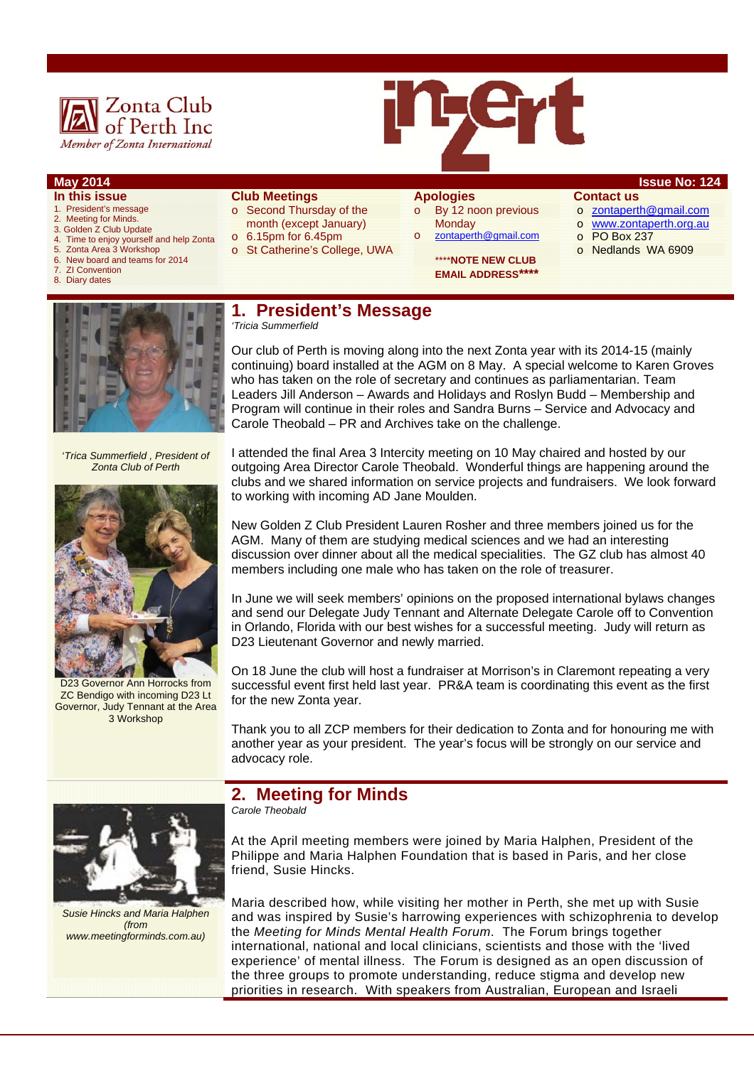



- **In this issue**
- 1. President's message
- 2. Meeting for Minds. 3. Golden Z Club Update
- 4. Time to enjoy yourself and help Zonta
- 5. Zonta Area 3 Workshop
- 6. New board and teams for 2014
- **ZI Convention**
- 8. Diary dates

#### **Club Meetings**

- o Second Thursday of the month (except January)
- o 6.15pm for 6.45pm
- o St Catherine's College, UWA

# **Apologies**

o By 12 noon previous **Monday** o zontaperth@gmail.com

> \*\*\*\***NOTE NEW CLUB EMAIL ADDRESS\*\*\*\***

#### **May 2014 Issue No: 124 Contact us**

- o zontaperth@gmail.com
- o www.zontaperth.org.au
- o PO Box 237
- o Nedlands WA 6909



'*Trica Summerfield , President of Zonta Club of Perth* 



D23 Governor Ann Horrocks from ZC Bendigo with incoming D23 Lt Governor, Judy Tennant at the Area 3 Workshop

#### **1. President's Message**  *'Tricia Summerfield*

Our club of Perth is moving along into the next Zonta year with its 2014-15 (mainly continuing) board installed at the AGM on 8 May. A special welcome to Karen Groves who has taken on the role of secretary and continues as parliamentarian. Team Leaders Jill Anderson – Awards and Holidays and Roslyn Budd – Membership and Program will continue in their roles and Sandra Burns – Service and Advocacy and Carole Theobald – PR and Archives take on the challenge.

I attended the final Area 3 Intercity meeting on 10 May chaired and hosted by our outgoing Area Director Carole Theobald. Wonderful things are happening around the clubs and we shared information on service projects and fundraisers. We look forward to working with incoming AD Jane Moulden.

New Golden Z Club President Lauren Rosher and three members joined us for the AGM. Many of them are studying medical sciences and we had an interesting discussion over dinner about all the medical specialities. The GZ club has almost 40 members including one male who has taken on the role of treasurer.

In June we will seek members' opinions on the proposed international bylaws changes and send our Delegate Judy Tennant and Alternate Delegate Carole off to Convention in Orlando, Florida with our best wishes for a successful meeting. Judy will return as D23 Lieutenant Governor and newly married.

On 18 June the club will host a fundraiser at Morrison's in Claremont repeating a very successful event first held last year. PR&A team is coordinating this event as the first for the new Zonta year.

Thank you to all ZCP members for their dedication to Zonta and for honouring me with another year as your president. The year's focus will be strongly on our service and advocacy role.

# **2. Meeting for Minds**

*Carole Theobald* 

At the April meeting members were joined by Maria Halphen, President of the Philippe and Maria Halphen Foundation that is based in Paris, and her close friend, Susie Hincks.

Maria described how, while visiting her mother in Perth, she met up with Susie and was inspired by Susie's harrowing experiences with schizophrenia to develop the *Meeting for Minds Mental Health Forum*. The Forum brings together international, national and local clinicians, scientists and those with the 'lived experience' of mental illness. The Forum is designed as an open discussion of the three groups to promote understanding, reduce stigma and develop new priorities in research. With speakers from Australian, European and Israeli



*Susie Hincks and Maria Halphen (from www.meetingforminds.com.au)*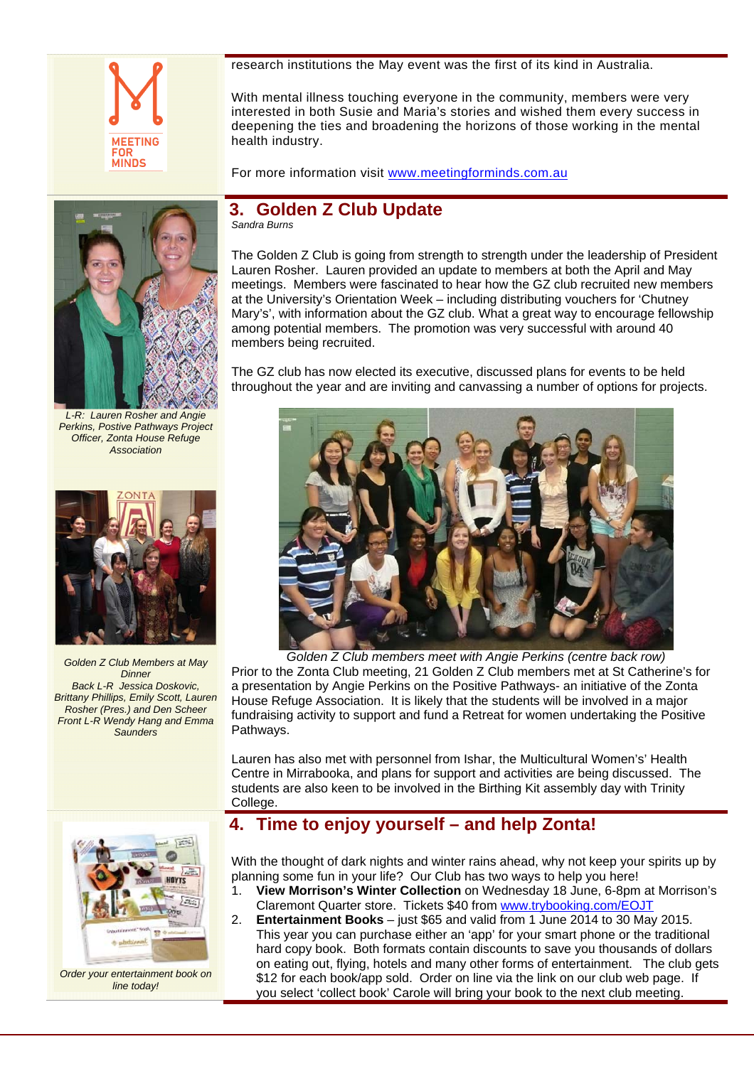

research institutions the May event was the first of its kind in Australia.

With mental illness touching everyone in the community, members were very interested in both Susie and Maria's stories and wished them every success in deepening the ties and broadening the horizons of those working in the mental health industry.

For more information visit www.meetingforminds.com.au



*L-R: Lauren Rosher and Angie Perkins, Postive Pathways Project Officer, Zonta House Refuge Association* 



*Golden Z Club Members at May Dinner Back L-R Jessica Doskovic, Brittany Phillips, Emily Scott, Lauren Rosher (Pres.) and Den Scheer Front L-R Wendy Hang and Emma Saunders* 



*Order your entertainment book on line today!* 

# **3. Golden Z Club Update**

*Sandra Burns* 

The Golden Z Club is going from strength to strength under the leadership of President Lauren Rosher. Lauren provided an update to members at both the April and May meetings. Members were fascinated to hear how the GZ club recruited new members at the University's Orientation Week – including distributing vouchers for 'Chutney Mary's', with information about the GZ club. What a great way to encourage fellowship among potential members. The promotion was very successful with around 40 members being recruited.

The GZ club has now elected its executive, discussed plans for events to be held throughout the year and are inviting and canvassing a number of options for projects.



*Golden Z Club members meet with Angie Perkins (centre back row)*  Prior to the Zonta Club meeting, 21 Golden Z Club members met at St Catherine's for a presentation by Angie Perkins on the Positive Pathways- an initiative of the Zonta House Refuge Association. It is likely that the students will be involved in a major fundraising activity to support and fund a Retreat for women undertaking the Positive Pathways.

Lauren has also met with personnel from Ishar, the Multicultural Women's' Health Centre in Mirrabooka, and plans for support and activities are being discussed. The students are also keen to be involved in the Birthing Kit assembly day with Trinity College.

## **4. Time to enjoy yourself – and help Zonta!**

With the thought of dark nights and winter rains ahead, why not keep your spirits up by planning some fun in your life? Our Club has two ways to help you here!

- 1. **View Morrison's Winter Collection** on Wednesday 18 June, 6-8pm at Morrison's Claremont Quarter store. Tickets \$40 from www.trybooking.com/EOJT
- 2. **Entertainment Books** just \$65 and valid from 1 June 2014 to 30 May 2015. This year you can purchase either an 'app' for your smart phone or the traditional hard copy book. Both formats contain discounts to save you thousands of dollars on eating out, flying, hotels and many other forms of entertainment. The club gets \$12 for each book/app sold. Order on line via the link on our club web page. If you select 'collect book' Carole will bring your book to the next club meeting.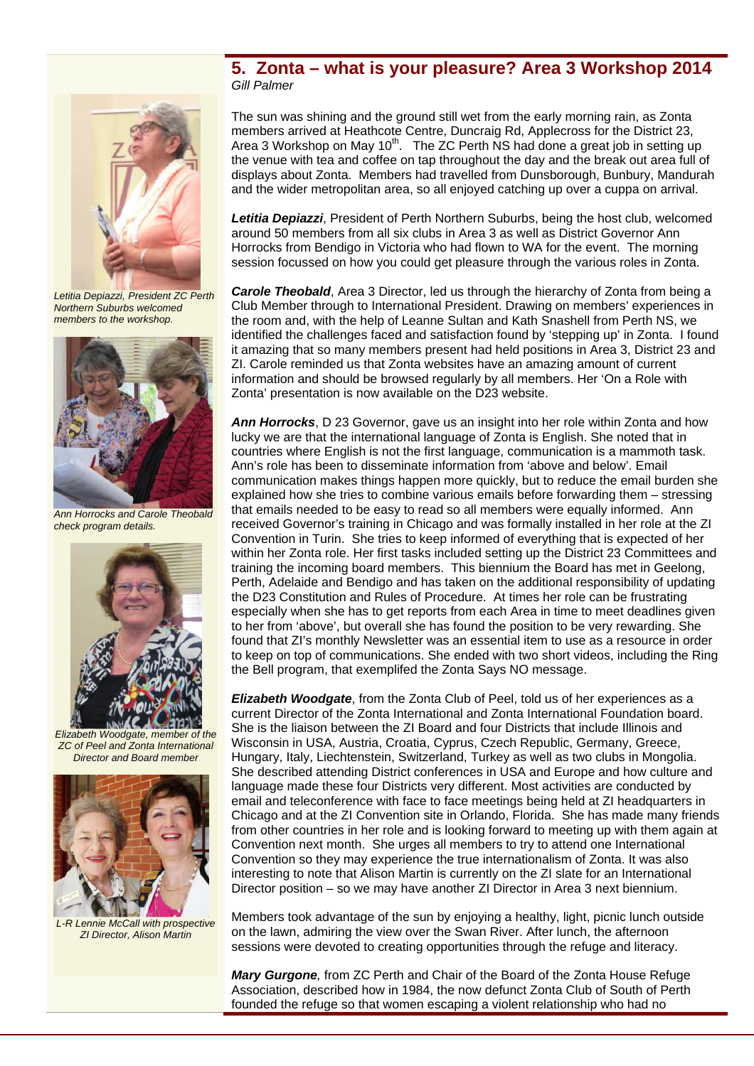## **5. Zonta – what is your pleasure? Area 3 Workshop 2014**  *Gill Palmer*



*Letitia Depiazzi, President ZC Perth Northern Suburbs welcomed members to the workshop.* 



*Ann Horrocks and Carole Theobald check program details.* 



*Elizabeth Woodgate, member of the ZC of Peel and Zonta International Director and Board member* 



*L-R Lennie McCall with prospective ZI Director, Alison Martin* 

The sun was shining and the ground still wet from the early morning rain, as Zonta members arrived at Heathcote Centre, Duncraig Rd, Applecross for the District 23, Area 3 Workshop on May  $10<sup>th</sup>$ . The ZC Perth NS had done a great job in setting up the venue with tea and coffee on tap throughout the day and the break out area full of displays about Zonta. Members had travelled from Dunsborough, Bunbury, Mandurah and the wider metropolitan area, so all enjoyed catching up over a cuppa on arrival.

*Letitia Depiazzi*, President of Perth Northern Suburbs, being the host club, welcomed around 50 members from all six clubs in Area 3 as well as District Governor Ann Horrocks from Bendigo in Victoria who had flown to WA for the event. The morning session focussed on how you could get pleasure through the various roles in Zonta.

*Carole Theobald*, Area 3 Director, led us through the hierarchy of Zonta from being a Club Member through to International President. Drawing on members' experiences in the room and, with the help of Leanne Sultan and Kath Snashell from Perth NS, we identified the challenges faced and satisfaction found by 'stepping up' in Zonta. I found it amazing that so many members present had held positions in Area 3, District 23 and ZI. Carole reminded us that Zonta websites have an amazing amount of current information and should be browsed regularly by all members. Her 'On a Role with Zonta' presentation is now available on the D23 website.

*Ann Horrocks*, D 23 Governor, gave us an insight into her role within Zonta and how lucky we are that the international language of Zonta is English. She noted that in countries where English is not the first language, communication is a mammoth task. Ann's role has been to disseminate information from 'above and below'. Email communication makes things happen more quickly, but to reduce the email burden she explained how she tries to combine various emails before forwarding them – stressing that emails needed to be easy to read so all members were equally informed. Ann received Governor's training in Chicago and was formally installed in her role at the ZI Convention in Turin. She tries to keep informed of everything that is expected of her within her Zonta role. Her first tasks included setting up the District 23 Committees and training the incoming board members. This biennium the Board has met in Geelong, Perth, Adelaide and Bendigo and has taken on the additional responsibility of updating the D23 Constitution and Rules of Procedure. At times her role can be frustrating especially when she has to get reports from each Area in time to meet deadlines given to her from 'above', but overall she has found the position to be very rewarding. She found that ZI's monthly Newsletter was an essential item to use as a resource in order to keep on top of communications. She ended with two short videos, including the Ring the Bell program, that exemplifed the Zonta Says NO message.

*Elizabeth Woodgate*, from the Zonta Club of Peel, told us of her experiences as a current Director of the Zonta International and Zonta International Foundation board. She is the liaison between the ZI Board and four Districts that include Illinois and Wisconsin in USA, Austria, Croatia, Cyprus, Czech Republic, Germany, Greece, Hungary, Italy, Liechtenstein, Switzerland, Turkey as well as two clubs in Mongolia. She described attending District conferences in USA and Europe and how culture and language made these four Districts very different. Most activities are conducted by email and teleconference with face to face meetings being held at ZI headquarters in Chicago and at the ZI Convention site in Orlando, Florida. She has made many friends from other countries in her role and is looking forward to meeting up with them again at Convention next month. She urges all members to try to attend one International Convention so they may experience the true internationalism of Zonta. It was also interesting to note that Alison Martin is currently on the ZI slate for an International Director position – so we may have another ZI Director in Area 3 next biennium.

Members took advantage of the sun by enjoying a healthy, light, picnic lunch outside on the lawn, admiring the view over the Swan River. After lunch, the afternoon sessions were devoted to creating opportunities through the refuge and literacy.

*Mary Gurgone,* from ZC Perth and Chair of the Board of the Zonta House Refuge Association, described how in 1984, the now defunct Zonta Club of South of Perth founded the refuge so that women escaping a violent relationship who had no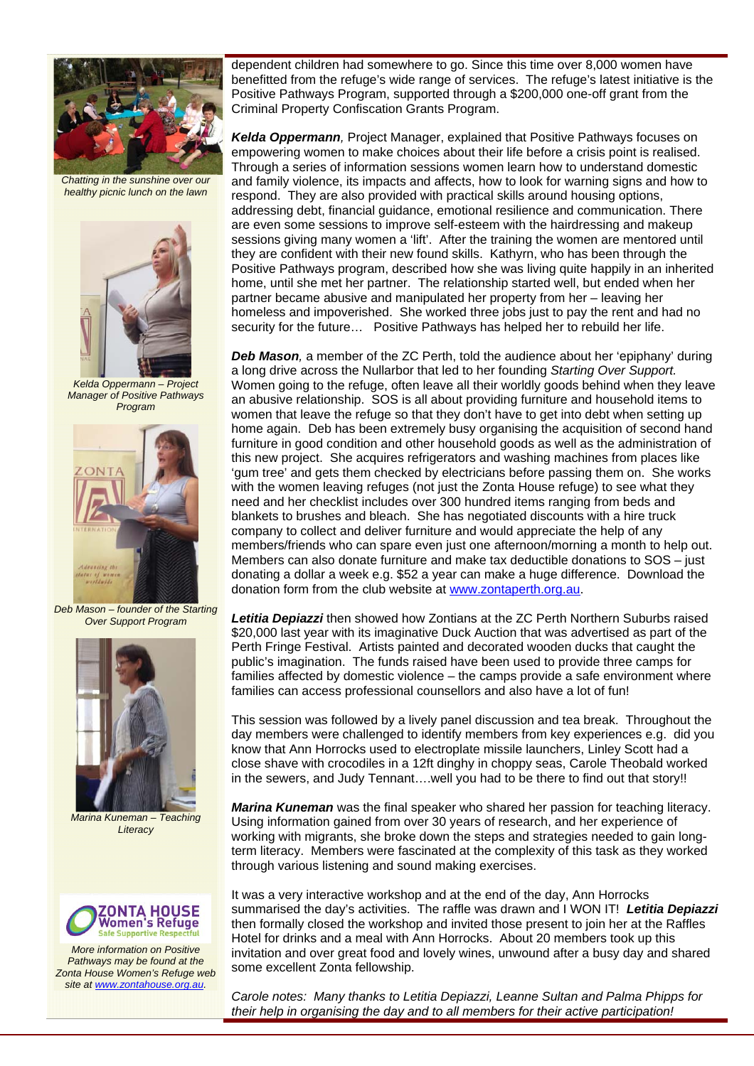

*Chatting in the sunshine over our healthy picnic lunch on the lawn* 



*Kelda Oppermann – Project Manager of Positive Pathways Program* 



*Deb Mason – founder of the Starting Over Support Program* 



*Marina Kuneman – Teaching Literacy* 



*More information on Positive Pathways may be found at the Zonta House Women's Refuge web site at www.zontahouse.org.au.* 

dependent children had somewhere to go. Since this time over 8,000 women have benefitted from the refuge's wide range of services. The refuge's latest initiative is the Positive Pathways Program, supported through a \$200,000 one-off grant from the Criminal Property Confiscation Grants Program.

*Kelda Oppermann,* Project Manager, explained that Positive Pathways focuses on empowering women to make choices about their life before a crisis point is realised. Through a series of information sessions women learn how to understand domestic and family violence, its impacts and affects, how to look for warning signs and how to respond. They are also provided with practical skills around housing options, addressing debt, financial guidance, emotional resilience and communication. There are even some sessions to improve self-esteem with the hairdressing and makeup sessions giving many women a 'lift'. After the training the women are mentored until they are confident with their new found skills. Kathyrn, who has been through the Positive Pathways program, described how she was living quite happily in an inherited home, until she met her partner. The relationship started well, but ended when her partner became abusive and manipulated her property from her – leaving her homeless and impoverished. She worked three jobs just to pay the rent and had no security for the future… Positive Pathways has helped her to rebuild her life.

*Deb Mason.* a member of the ZC Perth, told the audience about her 'epiphany' during a long drive across the Nullarbor that led to her founding *Starting Over Support.* Women going to the refuge, often leave all their worldly goods behind when they leave an abusive relationship. SOS is all about providing furniture and household items to women that leave the refuge so that they don't have to get into debt when setting up home again. Deb has been extremely busy organising the acquisition of second hand furniture in good condition and other household goods as well as the administration of this new project. She acquires refrigerators and washing machines from places like 'gum tree' and gets them checked by electricians before passing them on. She works with the women leaving refuges (not just the Zonta House refuge) to see what they need and her checklist includes over 300 hundred items ranging from beds and blankets to brushes and bleach. She has negotiated discounts with a hire truck company to collect and deliver furniture and would appreciate the help of any members/friends who can spare even just one afternoon/morning a month to help out. Members can also donate furniture and make tax deductible donations to SOS – just donating a dollar a week e.g. \$52 a year can make a huge difference. Download the donation form from the club website at www.zontaperth.org.au.

*Letitia Depiazzi* then showed how Zontians at the ZC Perth Northern Suburbs raised \$20,000 last year with its imaginative Duck Auction that was advertised as part of the Perth Fringe Festival. Artists painted and decorated wooden ducks that caught the public's imagination. The funds raised have been used to provide three camps for families affected by domestic violence – the camps provide a safe environment where families can access professional counsellors and also have a lot of fun!

This session was followed by a lively panel discussion and tea break. Throughout the day members were challenged to identify members from key experiences e.g. did you know that Ann Horrocks used to electroplate missile launchers, Linley Scott had a close shave with crocodiles in a 12ft dinghy in choppy seas, Carole Theobald worked in the sewers, and Judy Tennant….well you had to be there to find out that story!!

*Marina Kuneman* was the final speaker who shared her passion for teaching literacy. Using information gained from over 30 years of research, and her experience of working with migrants, she broke down the steps and strategies needed to gain longterm literacy. Members were fascinated at the complexity of this task as they worked through various listening and sound making exercises.

It was a very interactive workshop and at the end of the day, Ann Horrocks summarised the day's activities. The raffle was drawn and I WON IT! *Letitia Depiazzi*  then formally closed the workshop and invited those present to join her at the Raffles Hotel for drinks and a meal with Ann Horrocks. About 20 members took up this invitation and over great food and lovely wines, unwound after a busy day and shared some excellent Zonta fellowship.

*Carole notes: Many thanks to Letitia Depiazzi, Leanne Sultan and Palma Phipps for their help in organising the day and to all members for their active participation!*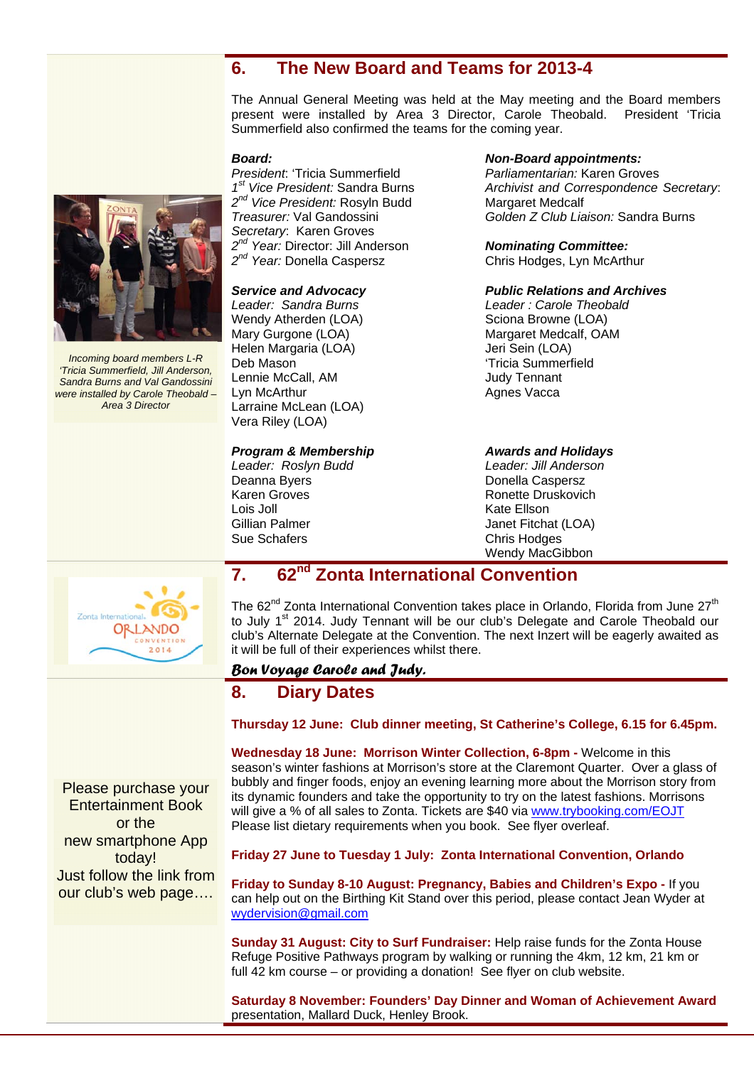## **6. The New Board and Teams for 2013-4**

The Annual General Meeting was held at the May meeting and the Board members present were installed by Area 3 Director, Carole Theobald. President 'Tricia Summerfield also confirmed the teams for the coming year.

#### *Board:*

*President*: 'Tricia Summerfield *1st Vice President:* Sandra Burns *2nd Vice President:* Rosyln Budd *Treasurer:* Val Gandossini *Secretary*: Karen Groves *2nd Year:* Director: Jill Anderson *2nd Year:* Donella Caspersz

## *Service and Advocacy*

*Leader: Sandra Burns*  Wendy Atherden (LOA) Mary Gurgone (LOA) Helen Margaria (LOA) Deb Mason Lennie McCall, AM Lyn McArthur Larraine McLean (LOA) Vera Riley (LOA)

## *Program & Membership*

*Leader: Roslyn Budd*  Deanna Byers Karen Groves Lois Joll Gillian Palmer Sue Schafers

#### *Non-Board appointments:*

*Parliamentarian:* Karen Groves *Archivist and Correspondence Secretary*: Margaret Medcalf *Golden Z Club Liaison:* Sandra Burns

## *Nominating Committee:*

Chris Hodges, Lyn McArthur

#### *Public Relations and Archives*

*Leader : Carole Theobald*  Sciona Browne (LOA) Margaret Medcalf, OAM Jeri Sein (LOA) 'Tricia Summerfield Judy Tennant Agnes Vacca

*Awards and Holidays Leader: Jill Anderson*  Donella Caspersz Ronette Druskovich Kate Ellson Janet Fitchat (LOA) Chris Hodges Wendy MacGibbon

# **7. 62nd Zonta International Convention**

The 62<sup>nd</sup> Zonta International Convention takes place in Orlando, Florida from June  $27<sup>th</sup>$ to July 1<sup>st</sup> 2014. Judy Tennant will be our club's Delegate and Carole Theobald our club's Alternate Delegate at the Convention. The next Inzert will be eagerly awaited as it will be full of their experiences whilst there.

## *Bon Voyage Carole and Judy.*

## **8. Diary Dates**

**Thursday 12 June: Club dinner meeting, St Catherine's College, 6.15 for 6.45pm.** 

**Wednesday 18 June: Morrison Winter Collection, 6-8pm -** Welcome in this season's winter fashions at Morrison's store at the Claremont Quarter. Over a glass of bubbly and finger foods, enjoy an evening learning more about the Morrison story from its dynamic founders and take the opportunity to try on the latest fashions. Morrisons will give a % of all sales to Zonta. Tickets are \$40 via www.trybooking.com/EOJT Please list dietary requirements when you book. See flyer overleaf.

#### **Friday 27 June to Tuesday 1 July: Zonta International Convention, Orlando**

**Friday to Sunday 8-10 August: Pregnancy, Babies and Children's Expo -** If you can help out on the Birthing Kit Stand over this period, please contact Jean Wyder at wydervision@gmail.com

**Sunday 31 August: City to Surf Fundraiser:** Help raise funds for the Zonta House Refuge Positive Pathways program by walking or running the 4km, 12 km, 21 km or full 42 km course – or providing a donation! See flyer on club website.

**Saturday 8 November: Founders' Day Dinner and Woman of Achievement Award** presentation, Mallard Duck, Henley Brook.

Please purchase your Entertainment Book or the new smartphone App today! Just follow the link from our club's web page….





*Incoming board members L-R 'Tricia Summerfield, Jill Anderson, Sandra Burns and Val Gandossini were installed by Carole Theobald – Area 3 Director*